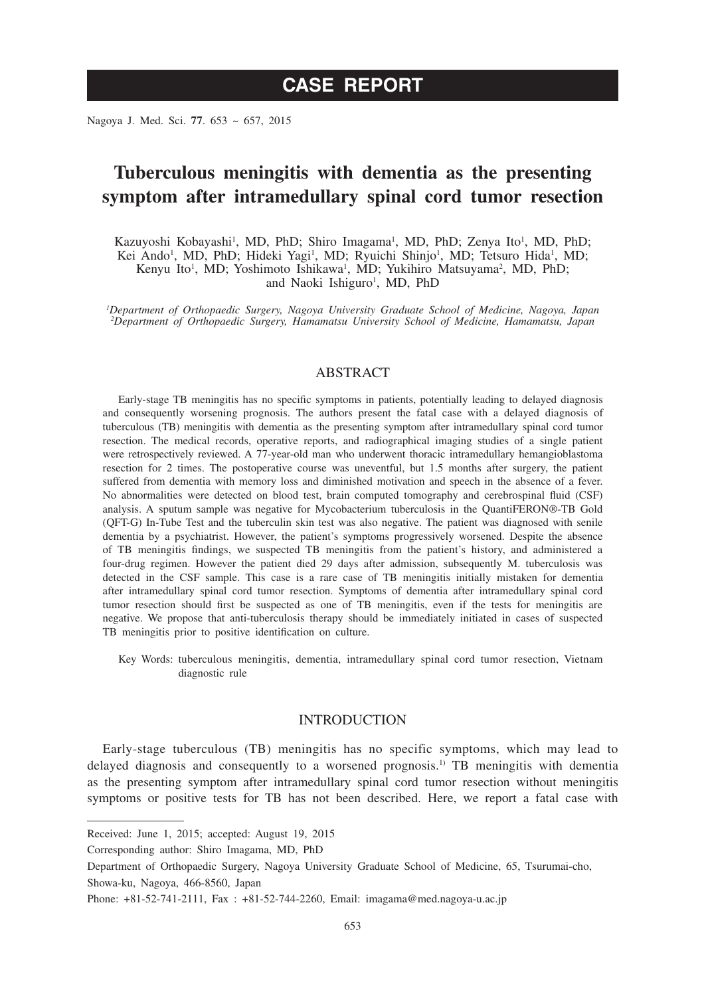# **CASE REPORT**

Nagoya J. Med. Sci. **77**. 653 ~ 657, 2015

## **Tuberculous meningitis with dementia as the presenting symptom after intramedullary spinal cord tumor resection**

Kazuyoshi Kobayashi<sup>1</sup>, MD, PhD; Shiro Imagama<sup>1</sup>, MD, PhD; Zenya Ito<sup>1</sup>, MD, PhD; Kei Ando<sup>1</sup>, MD, PhD; Hideki Yagi<sup>1</sup>, MD; Ryuichi Shinjo<sup>1</sup>, MD; Tetsuro Hida<sup>1</sup>, MD; Kenyu Ito<sup>1</sup>, MD; Yoshimoto Ishikawa<sup>1</sup>, MD; Yukihiro Matsuyama<sup>2</sup>, MD, PhD; and Naoki Ishiguro<sup>1</sup>, MD, PhD

*1 Department of Orthopaedic Surgery, Nagoya University Graduate School of Medicine, Nagoya, Japan 2 Department of Orthopaedic Surgery, Hamamatsu University School of Medicine, Hamamatsu, Japan*

### ABSTRACT

Early-stage TB meningitis has no specific symptoms in patients, potentially leading to delayed diagnosis and consequently worsening prognosis. The authors present the fatal case with a delayed diagnosis of tuberculous (TB) meningitis with dementia as the presenting symptom after intramedullary spinal cord tumor resection. The medical records, operative reports, and radiographical imaging studies of a single patient were retrospectively reviewed. A 77-year-old man who underwent thoracic intramedullary hemangioblastoma resection for 2 times. The postoperative course was uneventful, but 1.5 months after surgery, the patient suffered from dementia with memory loss and diminished motivation and speech in the absence of a fever. No abnormalities were detected on blood test, brain computed tomography and cerebrospinal fluid (CSF) analysis. A sputum sample was negative for Mycobacterium tuberculosis in the QuantiFERON®-TB Gold (QFT-G) In-Tube Test and the tuberculin skin test was also negative. The patient was diagnosed with senile dementia by a psychiatrist. However, the patient's symptoms progressively worsened. Despite the absence of TB meningitis findings, we suspected TB meningitis from the patient's history, and administered a four-drug regimen. However the patient died 29 days after admission, subsequently M. tuberculosis was detected in the CSF sample. This case is a rare case of TB meningitis initially mistaken for dementia after intramedullary spinal cord tumor resection. Symptoms of dementia after intramedullary spinal cord tumor resection should first be suspected as one of TB meningitis, even if the tests for meningitis are negative. We propose that anti-tuberculosis therapy should be immediately initiated in cases of suspected TB meningitis prior to positive identification on culture.

Key Words: tuberculous meningitis, dementia, intramedullary spinal cord tumor resection, Vietnam diagnostic rule

### INTRODUCTION

Early-stage tuberculous (TB) meningitis has no specific symptoms, which may lead to delayed diagnosis and consequently to a worsened prognosis.<sup>1)</sup> TB meningitis with dementia as the presenting symptom after intramedullary spinal cord tumor resection without meningitis symptoms or positive tests for TB has not been described. Here, we report a fatal case with

Received: June 1, 2015; accepted: August 19, 2015

Corresponding author: Shiro Imagama, MD, PhD

Department of Orthopaedic Surgery, Nagoya University Graduate School of Medicine, 65, Tsurumai-cho, Showa-ku, Nagoya, 466-8560, Japan

Phone: +81-52-741-2111, Fax : +81-52-744-2260, Email: imagama@med.nagoya-u.ac.jp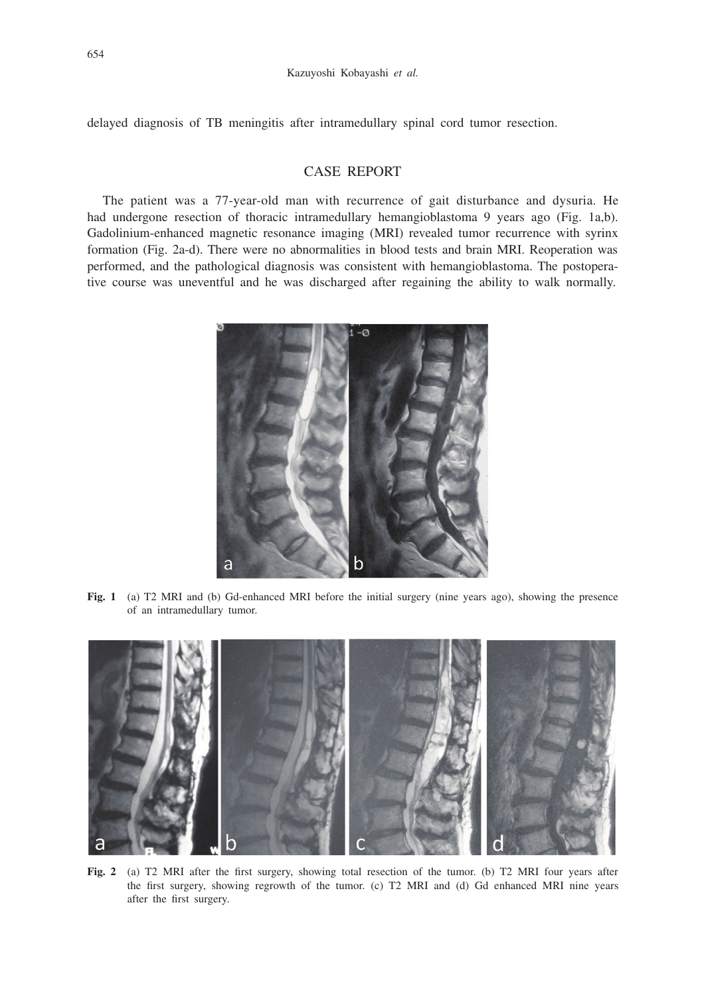delayed diagnosis of TB meningitis after intramedullary spinal cord tumor resection.

## CASE REPORT

The patient was a 77-year-old man with recurrence of gait disturbance and dysuria. He had undergone resection of thoracic intramedullary hemangioblastoma 9 years ago (Fig. 1a,b). Gadolinium-enhanced magnetic resonance imaging (MRI) revealed tumor recurrence with syrinx formation (Fig. 2a-d). There were no abnormalities in blood tests and brain MRI. Reoperation was performed, and the pathological diagnosis was consistent with hemangioblastoma. The postoperative course was uneventful and he was discharged after regaining the ability to walk normally.



**Fig. 1** (a) T2 MRI and (b) Gd-enhanced MRI before the initial surgery (nine years ago), showing the presence of an intramedullary tumor.



**Fig. 2** (a) T2 MRI after the first surgery, showing total resection of the tumor. (b) T2 MRI four years after the first surgery, showing regrowth of the tumor. (c) T2 MRI and (d) Gd enhanced MRI nine years after the first surgery.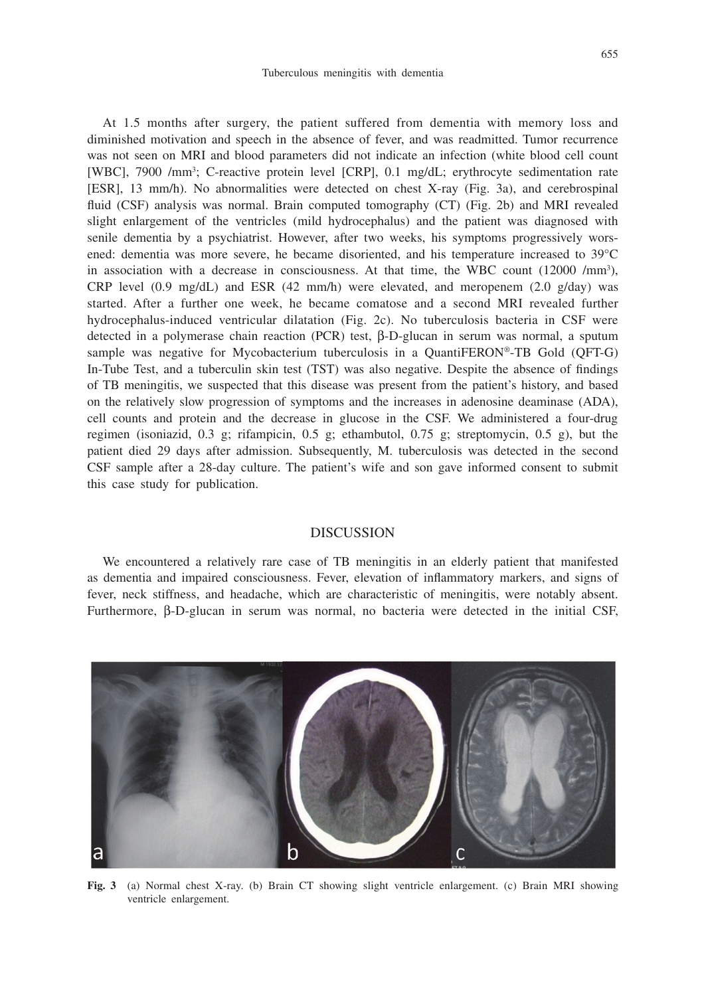At 1.5 months after surgery, the patient suffered from dementia with memory loss and diminished motivation and speech in the absence of fever, and was readmitted. Tumor recurrence was not seen on MRI and blood parameters did not indicate an infection (white blood cell count [WBC], 7900 /mm<sup>3</sup>; C-reactive protein level [CRP], 0.1 mg/dL; erythrocyte sedimentation rate [ESR], 13 mm/h). No abnormalities were detected on chest X-ray (Fig. 3a), and cerebrospinal fluid (CSF) analysis was normal. Brain computed tomography (CT) (Fig. 2b) and MRI revealed slight enlargement of the ventricles (mild hydrocephalus) and the patient was diagnosed with senile dementia by a psychiatrist. However, after two weeks, his symptoms progressively worsened: dementia was more severe, he became disoriented, and his temperature increased to 39°C in association with a decrease in consciousness. At that time, the WBC count (12000 /mm<sup>3</sup>), CRP level (0.9 mg/dL) and ESR (42 mm/h) were elevated, and meropenem (2.0 g/day) was started. After a further one week, he became comatose and a second MRI revealed further hydrocephalus-induced ventricular dilatation (Fig. 2c). No tuberculosis bacteria in CSF were detected in a polymerase chain reaction (PCR) test, β-D-glucan in serum was normal, a sputum sample was negative for Mycobacterium tuberculosis in a QuantiFERON®-TB Gold (QFT-G) In-Tube Test, and a tuberculin skin test (TST) was also negative. Despite the absence of findings of TB meningitis, we suspected that this disease was present from the patient's history, and based on the relatively slow progression of symptoms and the increases in adenosine deaminase (ADA), cell counts and protein and the decrease in glucose in the CSF. We administered a four-drug regimen (isoniazid, 0.3 g; rifampicin, 0.5 g; ethambutol, 0.75 g; streptomycin, 0.5 g), but the patient died 29 days after admission. Subsequently, M. tuberculosis was detected in the second CSF sample after a 28-day culture. The patient's wife and son gave informed consent to submit this case study for publication.

#### DISCUSSION

We encountered a relatively rare case of TB meningitis in an elderly patient that manifested as dementia and impaired consciousness. Fever, elevation of inflammatory markers, and signs of fever, neck stiffness, and headache, which are characteristic of meningitis, were notably absent. Furthermore, β-D-glucan in serum was normal, no bacteria were detected in the initial CSF,



**Fig. 3** (a) Normal chest X-ray. (b) Brain CT showing slight ventricle enlargement. (c) Brain MRI showing ventricle enlargement.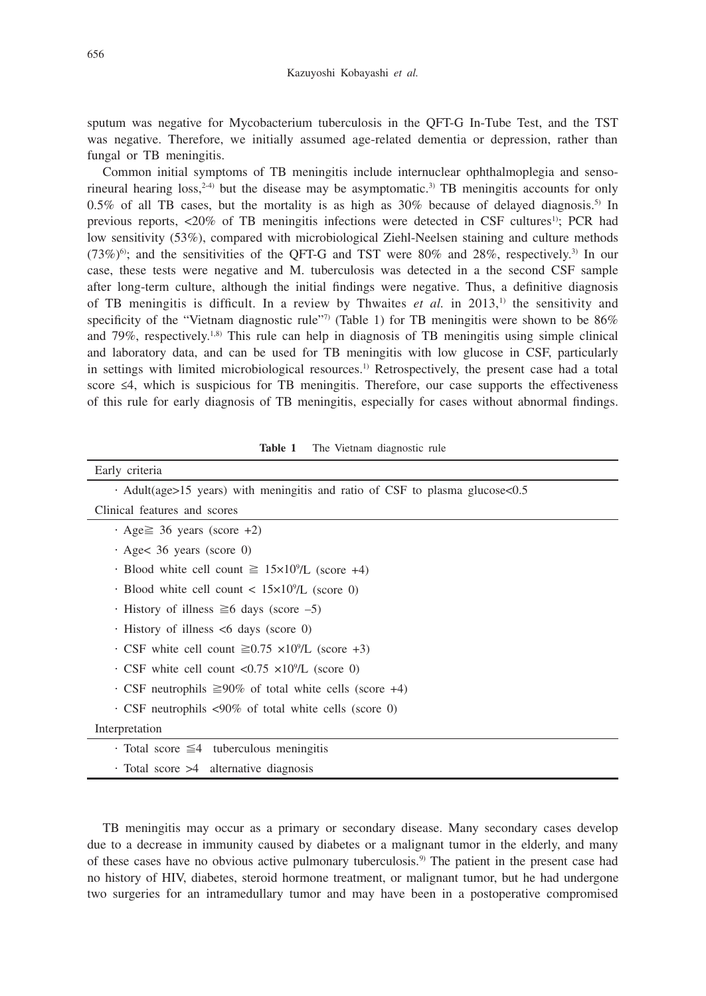sputum was negative for Mycobacterium tuberculosis in the QFT-G In-Tube Test, and the TST was negative. Therefore, we initially assumed age-related dementia or depression, rather than fungal or TB meningitis.

Common initial symptoms of TB meningitis include internuclear ophthalmoplegia and sensorineural hearing loss,<sup>2-4)</sup> but the disease may be asymptomatic.<sup>3)</sup> TB meningitis accounts for only 0.5% of all TB cases, but the mortality is as high as  $30\%$  because of delayed diagnosis.<sup>5)</sup> In previous reports, <20% of TB meningitis infections were detected in CSF cultures1); PCR had low sensitivity (53%), compared with microbiological Ziehl-Neelsen staining and culture methods  $(73\%)$ <sup>6</sup>; and the sensitivities of the QFT-G and TST were 80% and 28%, respectively.<sup>3)</sup> In our case, these tests were negative and M. tuberculosis was detected in a the second CSF sample after long-term culture, although the initial findings were negative. Thus, a definitive diagnosis of TB meningitis is difficult. In a review by Thwaites  $et$  al. in 2013,<sup>1)</sup> the sensitivity and specificity of the "Vietnam diagnostic rule"<sup>7)</sup> (Table 1) for TB meningitis were shown to be  $86\%$ and 79%, respectively.<sup>1,8)</sup> This rule can help in diagnosis of TB meningitis using simple clinical and laboratory data, and can be used for TB meningitis with low glucose in CSF, particularly in settings with limited microbiological resources.<sup>1)</sup> Retrospectively, the present case had a total score ≤4, which is suspicious for TB meningitis. Therefore, our case supports the effectiveness of this rule for early diagnosis of TB meningitis, especially for cases without abnormal findings.

| Early criteria                                                                     |
|------------------------------------------------------------------------------------|
| $\cdot$ Adult(age>15 years) with meningitis and ratio of CSF to plasma glucose<0.5 |
| Clinical features and scores                                                       |
| $\cdot$ Age $\geq$ 36 years (score +2)                                             |
| $\cdot$ Age $36$ years (score 0)                                                   |
| $\cdot$ Blood white cell count $\geq 15 \times 10^{9}/L$ (score +4)                |
| $\cdot$ Blood white cell count < 15×10 <sup>9</sup> /L (score 0)                   |
| $\cdot$ History of illness $\geq 6$ days (score -5)                                |
| $\cdot$ History of illness $\leq 6$ days (score 0)                                 |
| $\cdot$ CSF white cell count $\geq 0.75 \times 10^{9}/L$ (score +3)                |
| $\cdot$ CSF white cell count <0.75 $\times$ 10 <sup>9</sup> /L (score 0)           |
| $\cdot$ CSF neutrophils $\geq 90\%$ of total white cells (score +4)                |
| $\cdot$ CSF neutrophils <90% of total white cells (score 0)                        |
| Interpretation                                                                     |
| $\cdot$ Total score $\leq$ 4 tuberculous meningitis                                |
| $\cdot$ Total score $>4$ alternative diagnosis                                     |

**Table 1** The Vietnam diagnostic rule

TB meningitis may occur as a primary or secondary disease. Many secondary cases develop due to a decrease in immunity caused by diabetes or a malignant tumor in the elderly, and many of these cases have no obvious active pulmonary tuberculosis.9) The patient in the present case had no history of HIV, diabetes, steroid hormone treatment, or malignant tumor, but he had undergone two surgeries for an intramedullary tumor and may have been in a postoperative compromised